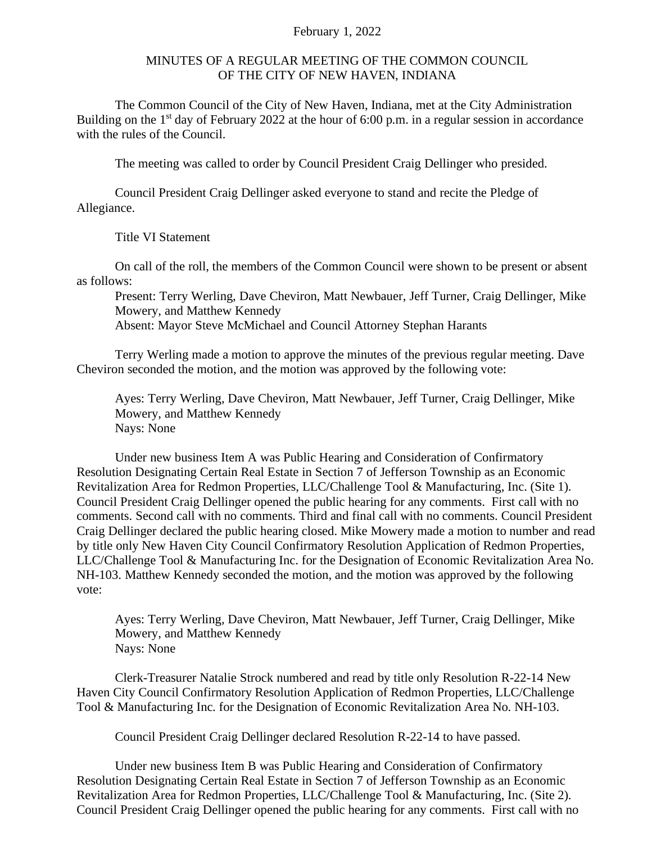## February 1, 2022

## MINUTES OF A REGULAR MEETING OF THE COMMON COUNCIL OF THE CITY OF NEW HAVEN, INDIANA

The Common Council of the City of New Haven, Indiana, met at the City Administration Building on the  $1<sup>st</sup>$  day of February 2022 at the hour of 6:00 p.m. in a regular session in accordance with the rules of the Council.

The meeting was called to order by Council President Craig Dellinger who presided.

Council President Craig Dellinger asked everyone to stand and recite the Pledge of Allegiance.

Title VI Statement

On call of the roll, the members of the Common Council were shown to be present or absent as follows:

Present: Terry Werling, Dave Cheviron, Matt Newbauer, Jeff Turner, Craig Dellinger, Mike Mowery, and Matthew Kennedy

Absent: Mayor Steve McMichael and Council Attorney Stephan Harants

Terry Werling made a motion to approve the minutes of the previous regular meeting. Dave Cheviron seconded the motion, and the motion was approved by the following vote:

Ayes: Terry Werling, Dave Cheviron, Matt Newbauer, Jeff Turner, Craig Dellinger, Mike Mowery, and Matthew Kennedy Nays: None

Under new business Item A was Public Hearing and Consideration of Confirmatory Resolution Designating Certain Real Estate in Section 7 of Jefferson Township as an Economic Revitalization Area for Redmon Properties, LLC/Challenge Tool & Manufacturing, Inc. (Site 1). Council President Craig Dellinger opened the public hearing for any comments. First call with no comments. Second call with no comments. Third and final call with no comments. Council President Craig Dellinger declared the public hearing closed. Mike Mowery made a motion to number and read by title only New Haven City Council Confirmatory Resolution Application of Redmon Properties, LLC/Challenge Tool & Manufacturing Inc. for the Designation of Economic Revitalization Area No. NH-103. Matthew Kennedy seconded the motion, and the motion was approved by the following vote:

Ayes: Terry Werling, Dave Cheviron, Matt Newbauer, Jeff Turner, Craig Dellinger, Mike Mowery, and Matthew Kennedy Nays: None

Clerk-Treasurer Natalie Strock numbered and read by title only Resolution R-22-14 New Haven City Council Confirmatory Resolution Application of Redmon Properties, LLC/Challenge Tool & Manufacturing Inc. for the Designation of Economic Revitalization Area No. NH-103.

Council President Craig Dellinger declared Resolution R-22-14 to have passed.

Under new business Item B was Public Hearing and Consideration of Confirmatory Resolution Designating Certain Real Estate in Section 7 of Jefferson Township as an Economic Revitalization Area for Redmon Properties, LLC/Challenge Tool & Manufacturing, Inc. (Site 2). Council President Craig Dellinger opened the public hearing for any comments. First call with no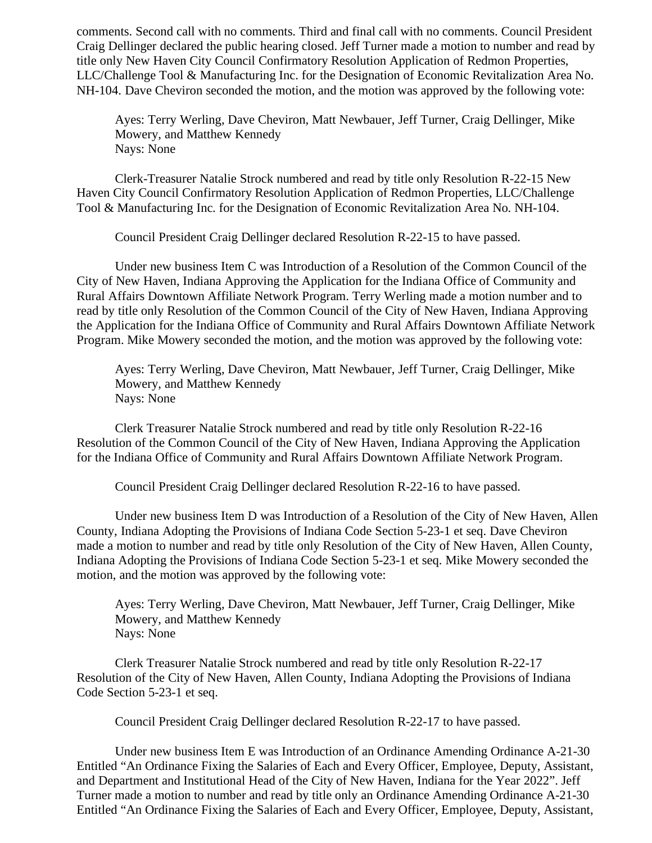comments. Second call with no comments. Third and final call with no comments. Council President Craig Dellinger declared the public hearing closed. Jeff Turner made a motion to number and read by title only New Haven City Council Confirmatory Resolution Application of Redmon Properties, LLC/Challenge Tool & Manufacturing Inc. for the Designation of Economic Revitalization Area No. NH-104. Dave Cheviron seconded the motion, and the motion was approved by the following vote:

Ayes: Terry Werling, Dave Cheviron, Matt Newbauer, Jeff Turner, Craig Dellinger, Mike Mowery, and Matthew Kennedy Nays: None

Clerk-Treasurer Natalie Strock numbered and read by title only Resolution R-22-15 New Haven City Council Confirmatory Resolution Application of Redmon Properties, LLC/Challenge Tool & Manufacturing Inc. for the Designation of Economic Revitalization Area No. NH-104.

Council President Craig Dellinger declared Resolution R-22-15 to have passed.

Under new business Item C was Introduction of a Resolution of the Common Council of the City of New Haven, Indiana Approving the Application for the Indiana Office of Community and Rural Affairs Downtown Affiliate Network Program. Terry Werling made a motion number and to read by title only Resolution of the Common Council of the City of New Haven, Indiana Approving the Application for the Indiana Office of Community and Rural Affairs Downtown Affiliate Network Program. Mike Mowery seconded the motion, and the motion was approved by the following vote:

Ayes: Terry Werling, Dave Cheviron, Matt Newbauer, Jeff Turner, Craig Dellinger, Mike Mowery, and Matthew Kennedy Nays: None

Clerk Treasurer Natalie Strock numbered and read by title only Resolution R-22-16 Resolution of the Common Council of the City of New Haven, Indiana Approving the Application for the Indiana Office of Community and Rural Affairs Downtown Affiliate Network Program.

Council President Craig Dellinger declared Resolution R-22-16 to have passed.

Under new business Item D was Introduction of a Resolution of the City of New Haven, Allen County, Indiana Adopting the Provisions of Indiana Code Section 5-23-1 et seq. Dave Cheviron made a motion to number and read by title only Resolution of the City of New Haven, Allen County, Indiana Adopting the Provisions of Indiana Code Section 5-23-1 et seq. Mike Mowery seconded the motion, and the motion was approved by the following vote:

Ayes: Terry Werling, Dave Cheviron, Matt Newbauer, Jeff Turner, Craig Dellinger, Mike Mowery, and Matthew Kennedy Nays: None

Clerk Treasurer Natalie Strock numbered and read by title only Resolution R-22-17 Resolution of the City of New Haven, Allen County, Indiana Adopting the Provisions of Indiana Code Section 5-23-1 et seq.

Council President Craig Dellinger declared Resolution R-22-17 to have passed.

Under new business Item E was Introduction of an Ordinance Amending Ordinance A-21-30 Entitled "An Ordinance Fixing the Salaries of Each and Every Officer, Employee, Deputy, Assistant, and Department and Institutional Head of the City of New Haven, Indiana for the Year 2022". Jeff Turner made a motion to number and read by title only an Ordinance Amending Ordinance A-21-30 Entitled "An Ordinance Fixing the Salaries of Each and Every Officer, Employee, Deputy, Assistant,